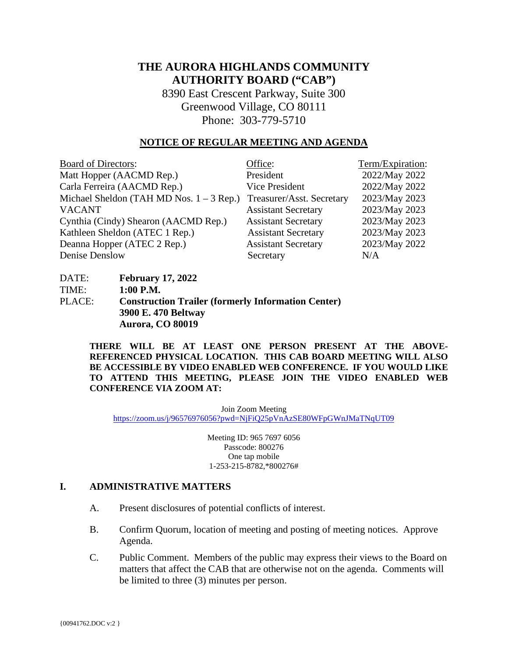# **THE AURORA HIGHLANDS COMMUNITY AUTHORITY BOARD ("CAB")**

8390 East Crescent Parkway, Suite 300 Greenwood Village, CO 80111 Phone: 303-779-5710

#### **NOTICE OF REGULAR MEETING AND AGENDA**

| <b>Board of Directors:</b>                 | Office:                    | Term/Expiration: |
|--------------------------------------------|----------------------------|------------------|
| Matt Hopper (AACMD Rep.)                   | President                  | 2022/May 2022    |
| Carla Ferreira (AACMD Rep.)                | Vice President             | 2022/May 2022    |
| Michael Sheldon (TAH MD Nos. $1 - 3$ Rep.) | Treasurer/Asst. Secretary  | 2023/May 2023    |
| <b>VACANT</b>                              | <b>Assistant Secretary</b> | 2023/May 2023    |
| Cynthia (Cindy) Shearon (AACMD Rep.)       | <b>Assistant Secretary</b> | 2023/May 2023    |
| Kathleen Sheldon (ATEC 1 Rep.)             | <b>Assistant Secretary</b> | 2023/May 2023    |
| Deanna Hopper (ATEC 2 Rep.)                | <b>Assistant Secretary</b> | 2023/May 2022    |
| Denise Denslow                             | Secretary                  | N/A              |

| DATE:  | <b>February 17, 2022</b>                                  |
|--------|-----------------------------------------------------------|
| TIME:  | $1:00$ P.M.                                               |
| PLACE: | <b>Construction Trailer (formerly Information Center)</b> |
|        | 3900 E. 470 Beltway                                       |
|        | Aurora, CO 80019                                          |

**THERE WILL BE AT LEAST ONE PERSON PRESENT AT THE ABOVE-REFERENCED PHYSICAL LOCATION. THIS CAB BOARD MEETING WILL ALSO BE ACCESSIBLE BY VIDEO ENABLED WEB CONFERENCE. IF YOU WOULD LIKE TO ATTEND THIS MEETING, PLEASE JOIN THE VIDEO ENABLED WEB CONFERENCE VIA ZOOM AT:**

Join Zoom Meeting <https://zoom.us/j/96576976056?pwd=NjFiQ25pVnAzSE80WFpGWnJMaTNqUT09>

> Meeting ID: 965 7697 6056 Passcode: 800276 One tap mobile 1-253-215-8782,\*800276#

#### **I. ADMINISTRATIVE MATTERS**

- A. Present disclosures of potential conflicts of interest.
- B. Confirm Quorum, location of meeting and posting of meeting notices. Approve Agenda.
- C. Public Comment. Members of the public may express their views to the Board on matters that affect the CAB that are otherwise not on the agenda. Comments will be limited to three (3) minutes per person.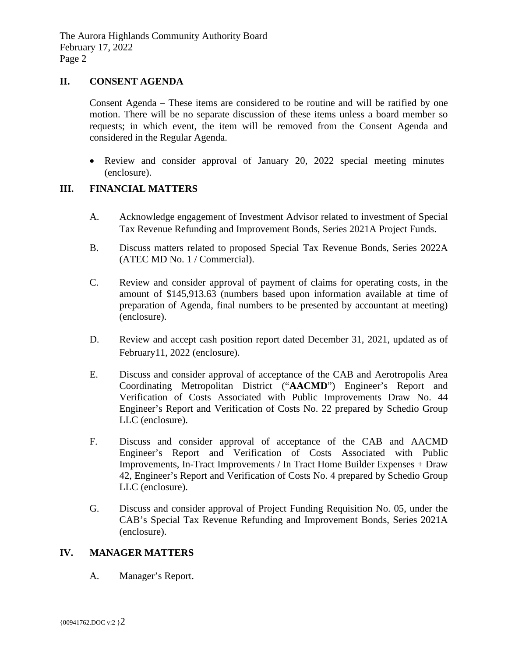# **II. CONSENT AGENDA**

Consent Agenda – These items are considered to be routine and will be ratified by one motion. There will be no separate discussion of these items unless a board member so requests; in which event, the item will be removed from the Consent Agenda and considered in the Regular Agenda.

• Review and consider approval of January 20, 2022 special meeting minutes (enclosure).

# **III. FINANCIAL MATTERS**

- A. Acknowledge engagement of Investment Advisor related to investment of Special Tax Revenue Refunding and Improvement Bonds, Series 2021A Project Funds.
- B. Discuss matters related to proposed Special Tax Revenue Bonds, Series 2022A (ATEC MD No. 1 / Commercial).
- C. Review and consider approval of payment of claims for operating costs, in the amount of \$145,913.63 (numbers based upon information available at time of preparation of Agenda, final numbers to be presented by accountant at meeting) (enclosure).
- D. Review and accept cash position report dated December 31, 2021, updated as of February11, 2022 (enclosure).
- E. Discuss and consider approval of acceptance of the CAB and Aerotropolis Area Coordinating Metropolitan District ("**AACMD**") Engineer's Report and Verification of Costs Associated with Public Improvements Draw No. 44 Engineer's Report and Verification of Costs No. 22 prepared by Schedio Group LLC (enclosure).
- F. Discuss and consider approval of acceptance of the CAB and AACMD Engineer's Report and Verification of Costs Associated with Public Improvements, In-Tract Improvements / In Tract Home Builder Expenses + Draw 42, Engineer's Report and Verification of Costs No. 4 prepared by Schedio Group LLC (enclosure).
- G. Discuss and consider approval of Project Funding Requisition No. 05, under the CAB's Special Tax Revenue Refunding and Improvement Bonds, Series 2021A (enclosure).

# **IV. MANAGER MATTERS**

A. Manager's Report.